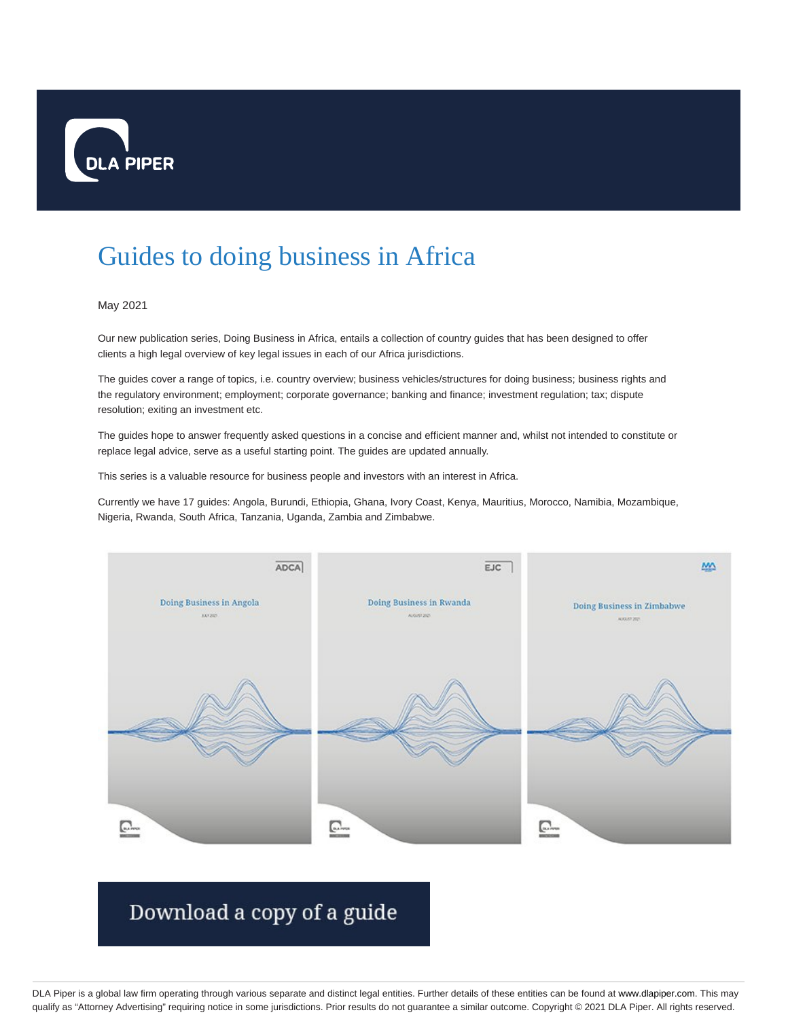

## Guides to doing business in Africa

## May 2021

Our new publication series, Doing Business in Africa, entails a collection of country guides that has been designed to offer clients a high legal overview of key legal issues in each of our Africa jurisdictions.

The guides cover a range of topics, i.e. country overview; business vehicles/structures for doing business; business rights and the regulatory environment; employment; corporate governance; banking and finance; investment regulation; tax; dispute resolution; exiting an investment etc.

The guides hope to answer frequently asked questions in a concise and efficient manner and, whilst not intended to constitute or replace legal advice, serve as a useful starting point. The guides are updated annually.

This series is a valuable resource for business people and investors with an interest in Africa.

Currently we have 17 guides: Angola, Burundi, Ethiopia, Ghana, Ivory Coast, Kenya, Mauritius, Morocco, Namibia, Mozambique, Nigeria, Rwanda, South Africa, Tanzania, Uganda, Zambia and Zimbabwe.



## Download a copy of a guide

DLA Piper is a global law firm operating through various separate and distinct legal entities. Further details of these entities can be found at www.dlapiper.com. This may qualify as "Attorney Advertising" requiring notice in some jurisdictions. Prior results do not guarantee a similar outcome. Copyright © 2021 DLA Piper. All rights reserved.